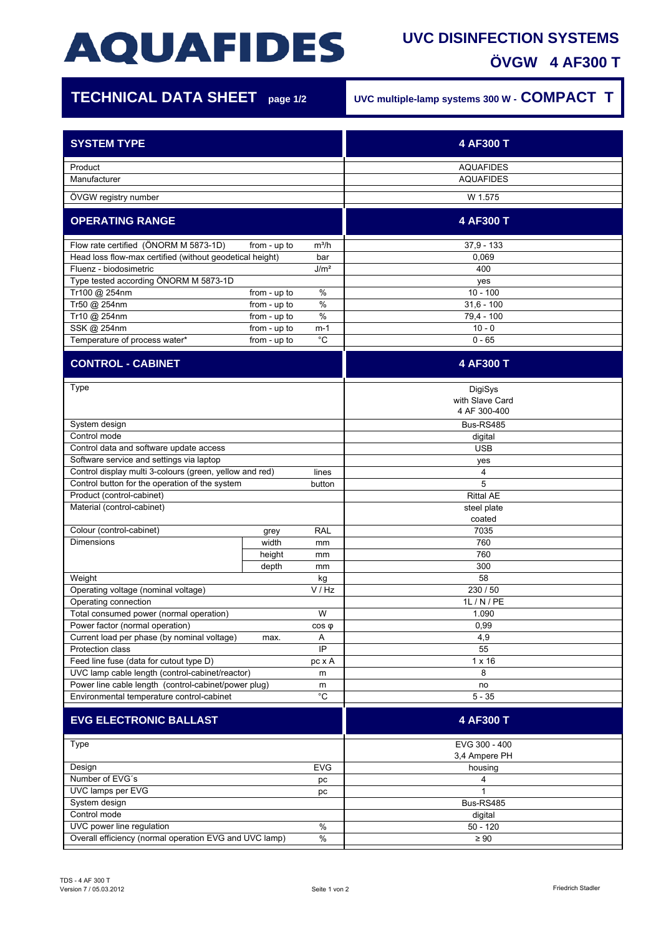# **AQUAFIDES**

### **UVC DISINFECTION SYSTEMS ÖVGW 4 AF300 T**

| <b>TECHNICAL DATA SHEET</b> page 1/2                                                                               |                              |                  | UVC multiple-lamp systems 300 W - COMPACT T |
|--------------------------------------------------------------------------------------------------------------------|------------------------------|------------------|---------------------------------------------|
| <b>SYSTEM TYPE</b>                                                                                                 |                              |                  | 4 AF300 T                                   |
|                                                                                                                    |                              |                  |                                             |
| Product<br>Manufacturer                                                                                            |                              |                  | <b>AQUAFIDES</b><br><b>AQUAFIDES</b>        |
| ÖVGW registry number                                                                                               |                              |                  | W 1.575                                     |
|                                                                                                                    |                              |                  |                                             |
| <b>OPERATING RANGE</b>                                                                                             |                              |                  | 4 AF300 T                                   |
| Flow rate certified (ÖNORM M 5873-1D)                                                                              | from - up to                 | $m^3/h$          | $37,9 - 133$                                |
| Head loss flow-max certified (without geodetical height)                                                           |                              | bar              | 0,069                                       |
| Fluenz - biodosimetric                                                                                             |                              | J/m <sup>2</sup> | 400                                         |
| Type tested according ÖNORM M 5873-1D                                                                              |                              |                  | yes                                         |
| Tr100 @ 254nm<br>Tr50 @ 254nm                                                                                      | from - up to<br>from - up to | %<br>%           | $10 - 100$<br>$31,6 - 100$                  |
| Tr10 @ 254nm                                                                                                       | from - up to                 | $\%$             | 79,4 - 100                                  |
| SSK @ 254nm                                                                                                        | from - up to                 | m-1              | $10 - 0$                                    |
| Temperature of process water*                                                                                      | from - up to                 | $^{\circ}C$      | $0 - 65$                                    |
| <b>CONTROL - CABINET</b>                                                                                           |                              |                  | 4 AF300 T                                   |
|                                                                                                                    |                              |                  |                                             |
| Type                                                                                                               |                              |                  | DigiSys                                     |
|                                                                                                                    |                              |                  | with Slave Card                             |
|                                                                                                                    |                              |                  | 4 AF 300-400                                |
| System design                                                                                                      |                              |                  | Bus-RS485                                   |
| Control mode                                                                                                       |                              |                  | digital                                     |
| Control data and software update access                                                                            |                              |                  | <b>USB</b>                                  |
| Software service and settings via laptop                                                                           |                              |                  | yes                                         |
| Control display multi 3-colours (green, yellow and red)<br>lines<br>Control button for the operation of the system |                              |                  | 4<br>5                                      |
| button<br>Product (control-cabinet)                                                                                |                              |                  | <b>Rittal AE</b>                            |
| Material (control-cabinet)                                                                                         |                              |                  | steel plate                                 |
|                                                                                                                    |                              |                  | coated                                      |
| Colour (control-cabinet)                                                                                           | grey                         | RAL              | 7035                                        |
| <b>Dimensions</b>                                                                                                  | width                        | mm               | 760                                         |
|                                                                                                                    | height                       | mm               | 760                                         |
|                                                                                                                    | depth                        | mm               | 300                                         |
| Weight                                                                                                             |                              | kg               | 58                                          |
| V / Hz<br>Operating voltage (nominal voltage)                                                                      |                              |                  | 230 / 50                                    |
| Operating connection                                                                                               |                              |                  | 1L / N / PE                                 |
| Total consumed power (normal operation)<br>W                                                                       |                              |                  | 1.090                                       |
| Power factor (normal operation)<br>$cos \phi$                                                                      |                              |                  | 0,99                                        |
| Current load per phase (by nominal voltage)<br>Α<br>max.                                                           |                              |                  | 4,9                                         |
| Protection class<br>IP                                                                                             |                              |                  | 55                                          |
| Feed line fuse (data for cutout type D)<br>pc x A                                                                  |                              |                  | $1 \times 16$<br>8                          |
| UVC lamp cable length (control-cabinet/reactor)<br>m<br>Power line cable length (control-cabinet/power plug)<br>m  |                              |                  | no                                          |
| $^{\circ}C$<br>Environmental temperature control-cabinet                                                           |                              |                  | $5 - 35$                                    |
| <b>EVG ELECTRONIC BALLAST</b>                                                                                      |                              |                  | 4 AF300 T                                   |
|                                                                                                                    |                              |                  |                                             |
| <b>Type</b>                                                                                                        |                              |                  | EVG 300 - 400<br>3,4 Ampere PH              |
| Design<br><b>EVG</b>                                                                                               |                              | housing          |                                             |
| Number of EVG's<br>pc                                                                                              |                              |                  | 4                                           |
| UVC lamps per EVG<br>pc                                                                                            |                              |                  | $\mathbf{1}$                                |
| System design                                                                                                      |                              |                  | Bus-RS485                                   |
| Control mode                                                                                                       |                              |                  | digital                                     |
| UVC power line regulation<br>$\%$                                                                                  |                              | $50 - 120$       |                                             |

Overall efficiency (normal operation EVG and UVC lamp) % 290 ≥ 90